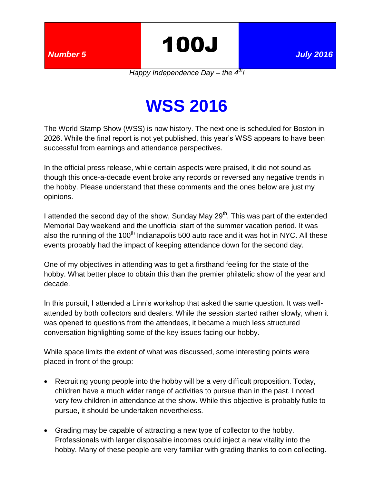*Number 5* 100J *July 2016*

*Happy Independence Day – the 4th!*

## **WSS 2016**

The World Stamp Show (WSS) is now history. The next one is scheduled for Boston in 2026. While the final report is not yet published, this year's WSS appears to have been successful from earnings and attendance perspectives.

In the official press release, while certain aspects were praised, it did not sound as though this once-a-decade event broke any records or reversed any negative trends in the hobby. Please understand that these comments and the ones below are just my opinions.

I attended the second day of the show, Sunday May  $29<sup>th</sup>$ . This was part of the extended Memorial Day weekend and the unofficial start of the summer vacation period. It was also the running of the 100<sup>th</sup> Indianapolis 500 auto race and it was hot in NYC. All these events probably had the impact of keeping attendance down for the second day.

One of my objectives in attending was to get a firsthand feeling for the state of the hobby. What better place to obtain this than the premier philatelic show of the year and decade.

In this pursuit, I attended a Linn's workshop that asked the same question. It was wellattended by both collectors and dealers. While the session started rather slowly, when it was opened to questions from the attendees, it became a much less structured conversation highlighting some of the key issues facing our hobby.

While space limits the extent of what was discussed, some interesting points were placed in front of the group:

- Recruiting young people into the hobby will be a very difficult proposition. Today, children have a much wider range of activities to pursue than in the past. I noted very few children in attendance at the show. While this objective is probably futile to pursue, it should be undertaken nevertheless.
- Grading may be capable of attracting a new type of collector to the hobby. Professionals with larger disposable incomes could inject a new vitality into the hobby. Many of these people are very familiar with grading thanks to coin collecting.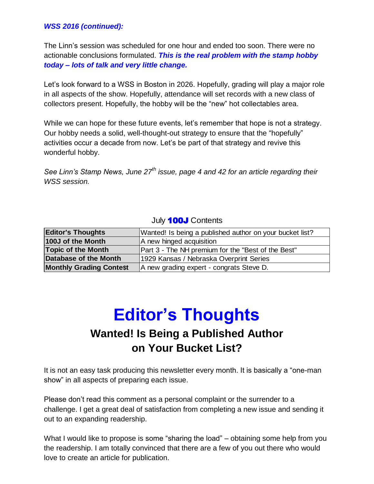#### *WSS 2016 (continued):*

The Linn's session was scheduled for one hour and ended too soon. There were no actionable conclusions formulated. *This is the real problem with the stamp hobby today – lots of talk and very little change.*

Let's look forward to a WSS in Boston in 2026. Hopefully, grading will play a major role in all aspects of the show. Hopefully, attendance will set records with a new class of collectors present. Hopefully, the hobby will be the "new" hot collectables area.

While we can hope for these future events, let's remember that hope is not a strategy. Our hobby needs a solid, well-thought-out strategy to ensure that the "hopefully" activities occur a decade from now. Let's be part of that strategy and revive this wonderful hobby.

*See Linn's Stamp News, June 27th issue, page 4 and 42 for an article regarding their WSS session.*

#### July **100J** Contents

| <b>Editor's Thoughts</b>       | Wanted! Is being a published author on your bucket list? |  |  |  |
|--------------------------------|----------------------------------------------------------|--|--|--|
| 100J of the Month              | A new hinged acquisition                                 |  |  |  |
| <b>Topic of the Month</b>      | Part 3 - The NH premium for the "Best of the Best"       |  |  |  |
| Database of the Month          | 1929 Kansas / Nebraska Overprint Series                  |  |  |  |
| <b>Monthly Grading Contest</b> | A new grading expert - congrats Steve D.                 |  |  |  |

## **Editor's Thoughts Wanted! Is Being a Published Author on Your Bucket List?**

It is not an easy task producing this newsletter every month. It is basically a "one-man show" in all aspects of preparing each issue.

Please don't read this comment as a personal complaint or the surrender to a challenge. I get a great deal of satisfaction from completing a new issue and sending it out to an expanding readership.

What I would like to propose is some "sharing the load" – obtaining some help from you the readership. I am totally convinced that there are a few of you out there who would love to create an article for publication.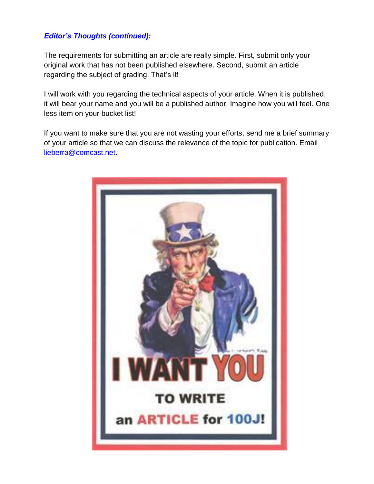#### *Editor's Thoughts (continued):*

The requirements for submitting an article are really simple. First, submit only your original work that has not been published elsewhere. Second, submit an article regarding the subject of grading. That's it!

I will work with you regarding the technical aspects of your article. When it is published, it will bear your name and you will be a published author. Imagine how you will feel. One less item on your bucket list!

If you want to make sure that you are not wasting your efforts, send me a brief summary of your article so that we can discuss the relevance of the topic for publication. Email [lieberra@comcast.net.](mailto:lieberra@comcast.net)

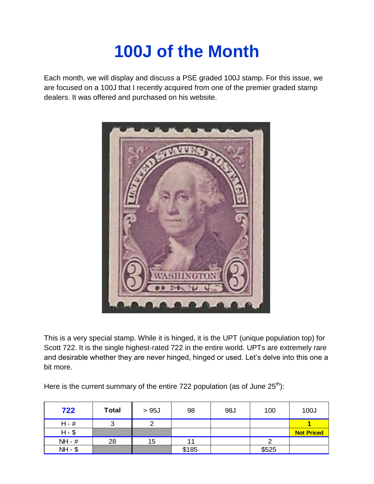# **100J of the Month**

Each month, we will display and discuss a PSE graded 100J stamp. For this issue, we are focused on a 100J that I recently acquired from one of the premier graded stamp dealers. It was offered and purchased on his website.



This is a very special stamp. While it is hinged, it is the UPT (unique population top) for Scott 722. It is the single highest-rated 722 in the entire world. UPTs are extremely rare and desirable whether they are never hinged, hinged or used. Let's delve into this one a bit more.

Here is the current summary of the entire 722 population (as of June  $25<sup>th</sup>$ ):

| 722      | <b>Total</b> | >95J | 98    | 98J | 100   | 100J              |
|----------|--------------|------|-------|-----|-------|-------------------|
| $H - #$  | 3            | ⌒    |       |     |       |                   |
| $H - $$  |              |      |       |     |       | <b>Not Priced</b> |
| NH - #   | 28           | 15   | 11    |     |       |                   |
| $NH - $$ |              |      | \$185 |     | \$525 |                   |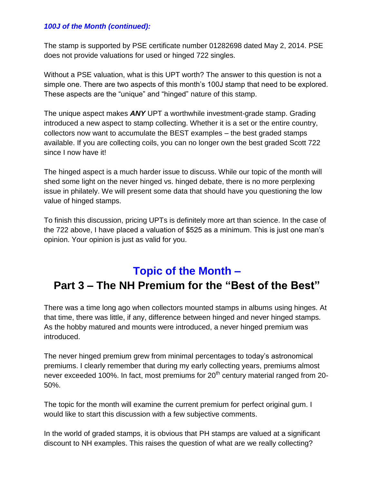#### *100J of the Month (continued):*

The stamp is supported by PSE certificate number 01282698 dated May 2, 2014. PSE does not provide valuations for used or hinged 722 singles.

Without a PSE valuation, what is this UPT worth? The answer to this question is not a simple one. There are two aspects of this month's 100J stamp that need to be explored. These aspects are the "unique" and "hinged" nature of this stamp.

The unique aspect makes *ANY* UPT a worthwhile investment-grade stamp. Grading introduced a new aspect to stamp collecting. Whether it is a set or the entire country, collectors now want to accumulate the BEST examples – the best graded stamps available. If you are collecting coils, you can no longer own the best graded Scott 722 since I now have it!

The hinged aspect is a much harder issue to discuss. While our topic of the month will shed some light on the never hinged vs. hinged debate, there is no more perplexing issue in philately. We will present some data that should have you questioning the low value of hinged stamps.

To finish this discussion, pricing UPTs is definitely more art than science. In the case of the 722 above, I have placed a valuation of \$525 as a minimum. This is just one man's opinion. Your opinion is just as valid for you.

## **Topic of the Month – Part 3 – The NH Premium for the "Best of the Best"**

There was a time long ago when collectors mounted stamps in albums using hinges. At that time, there was little, if any, difference between hinged and never hinged stamps. As the hobby matured and mounts were introduced, a never hinged premium was introduced.

The never hinged premium grew from minimal percentages to today's astronomical premiums. I clearly remember that during my early collecting years, premiums almost never exceeded 100%. In fact, most premiums for  $20<sup>th</sup>$  century material ranged from 20-50%.

The topic for the month will examine the current premium for perfect original gum. I would like to start this discussion with a few subjective comments.

In the world of graded stamps, it is obvious that PH stamps are valued at a significant discount to NH examples. This raises the question of what are we really collecting?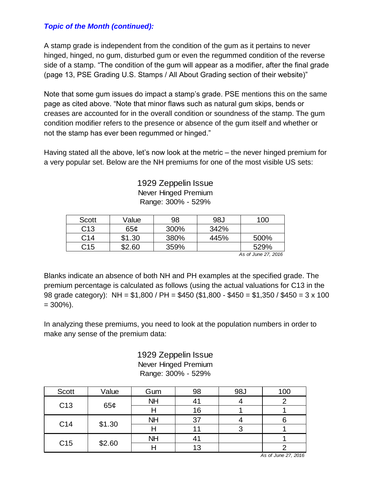#### *Topic of the Month (continued):*

A stamp grade is independent from the condition of the gum as it pertains to never hinged, hinged, no gum, disturbed gum or even the regummed condition of the reverse side of a stamp. "The condition of the gum will appear as a modifier, after the final grade (page 13, PSE Grading U.S. Stamps / All About Grading section of their website)"

Note that some gum issues do impact a stamp's grade. PSE mentions this on the same page as cited above. "Note that minor flaws such as natural gum skips, bends or creases are accounted for in the overall condition or soundness of the stamp. The gum condition modifier refers to the presence or absence of the gum itself and whether or not the stamp has ever been regummed or hinged."

Having stated all the above, let's now look at the metric – the never hinged premium for a very popular set. Below are the NH premiums for one of the most visible US sets:

> 1929 Zeppelin Issue Never Hinged Premium Range: 300% - 529%

| Scott           | Value  | 98   | 98J  | 100  |
|-----------------|--------|------|------|------|
| C <sub>13</sub> | 65¢    | 300% | 342% |      |
| C <sub>14</sub> | \$1.30 | 380% | 445% | 500% |
| C <sub>15</sub> | \$2.60 | 359% |      | 529% |

*As of June 27, 2016*

Blanks indicate an absence of both NH and PH examples at the specified grade. The premium percentage is calculated as follows (using the actual valuations for C13 in the 98 grade category): NH = \$1,800 / PH = \$450 (\$1,800 - \$450 = \$1,350 / \$450 = 3 x 100  $= 300\%$ ).

In analyzing these premiums, you need to look at the population numbers in order to make any sense of the premium data:

> 1929 Zeppelin Issue Never Hinged Premium Range: 300% - 529%

| <b>Scott</b>    | Value  | Gum       | 98 | 98J | 100 |
|-----------------|--------|-----------|----|-----|-----|
| C <sub>13</sub> | 65¢    | <b>NH</b> | 41 |     |     |
|                 |        |           | 16 |     |     |
| C14             | \$1.30 | <b>NH</b> | 37 |     |     |
|                 |        |           |    |     |     |
| C15             | \$2.60 | <b>NH</b> |    |     |     |
|                 |        |           | 13 |     |     |

*As of June 27, 2016*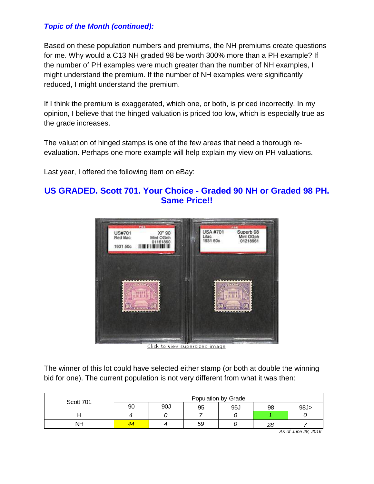#### *Topic of the Month (continued):*

Based on these population numbers and premiums, the NH premiums create questions for me. Why would a C13 NH graded 98 be worth 300% more than a PH example? If the number of PH examples were much greater than the number of NH examples, I might understand the premium. If the number of NH examples were significantly reduced, I might understand the premium.

If I think the premium is exaggerated, which one, or both, is priced incorrectly. In my opinion, I believe that the hinged valuation is priced too low, which is especially true as the grade increases.

The valuation of hinged stamps is one of the few areas that need a thorough reevaluation. Perhaps one more example will help explain my view on PH valuations.

Last year, I offered the following item on eBay:

#### **US GRADED. Scott 701. Your Choice - Graded 90 NH or Graded 98 PH. Same Price!!**



Click to view supersized image

The winner of this lot could have selected either stamp (or both at double the winning bid for one). The current population is not very different from what it was then:

| Scott 701 | Population by Grade |     |    |     |    |     |
|-----------|---------------------|-----|----|-----|----|-----|
|           | 90                  | 90J | 95 | 95J | 98 | 98J |
|           |                     |     |    |     |    |     |
| <b>NH</b> |                     |     | 59 |     | 28 |     |

*As of June 28, 2016*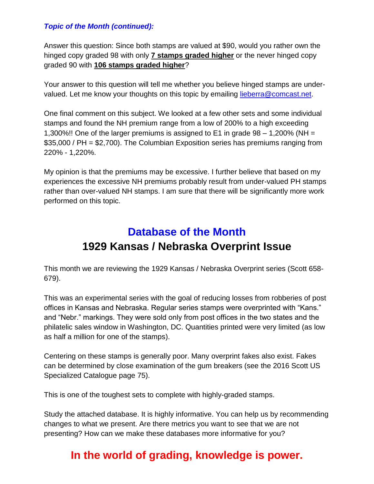#### *Topic of the Month (continued):*

Answer this question: Since both stamps are valued at \$90, would you rather own the hinged copy graded 98 with only **7 stamps graded higher** or the never hinged copy graded 90 with **106 stamps graded higher**?

Your answer to this question will tell me whether you believe hinged stamps are undervalued. Let me know your thoughts on this topic by emailing [lieberra@comcast.net.](mailto:lieberra@comcast.net)

One final comment on this subject. We looked at a few other sets and some individual stamps and found the NH premium range from a low of 200% to a high exceeding 1,300%!! One of the larger premiums is assigned to E1 in grade 98 – 1,200% (NH = \$35,000 / PH = \$2,700). The Columbian Exposition series has premiums ranging from 220% - 1,220%.

My opinion is that the premiums may be excessive. I further believe that based on my experiences the excessive NH premiums probably result from under-valued PH stamps rather than over-valued NH stamps. I am sure that there will be significantly more work performed on this topic.

## **Database of the Month 1929 Kansas / Nebraska Overprint Issue**

This month we are reviewing the 1929 Kansas / Nebraska Overprint series (Scott 658- 679).

This was an experimental series with the goal of reducing losses from robberies of post offices in Kansas and Nebraska. Regular series stamps were overprinted with "Kans." and "Nebr." markings. They were sold only from post offices in the two states and the philatelic sales window in Washington, DC. Quantities printed were very limited (as low as half a million for one of the stamps).

Centering on these stamps is generally poor. Many overprint fakes also exist. Fakes can be determined by close examination of the gum breakers (see the 2016 Scott US Specialized Catalogue page 75).

This is one of the toughest sets to complete with highly-graded stamps.

Study the attached database. It is highly informative. You can help us by recommending changes to what we present. Are there metrics you want to see that we are not presenting? How can we make these databases more informative for you?

### **In the world of grading, knowledge is power.**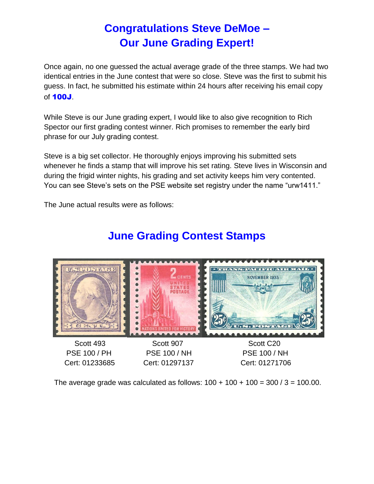## **Congratulations Steve DeMoe – Our June Grading Expert!**

Once again, no one guessed the actual average grade of the three stamps. We had two identical entries in the June contest that were so close. Steve was the first to submit his guess. In fact, he submitted his estimate within 24 hours after receiving his email copy of 100J.

While Steve is our June grading expert, I would like to also give recognition to Rich Spector our first grading contest winner. Rich promises to remember the early bird phrase for our July grading contest.

Steve is a big set collector. He thoroughly enjoys improving his submitted sets whenever he finds a stamp that will improve his set rating. Steve lives in Wisconsin and during the frigid winter nights, his grading and set activity keeps him very contented. You can see Steve's sets on the PSE website set registry under the name "urw1411."

The June actual results were as follows:



## **June Grading Contest Stamps**

The average grade was calculated as follows:  $100 + 100 + 100 = 300 / 3 = 100.00$ .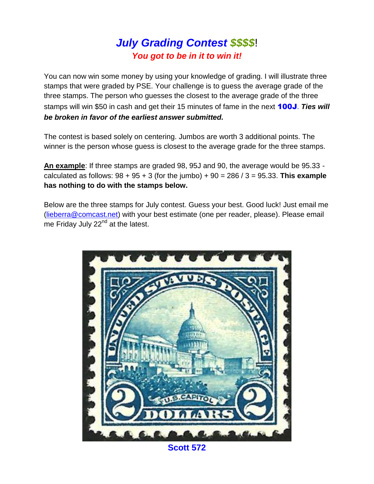### *July Grading Contest \$\$\$\$*! *You got to be in it to win it!*

You can now win some money by using your knowledge of grading. I will illustrate three stamps that were graded by PSE. Your challenge is to guess the average grade of the three stamps. The person who guesses the closest to the average grade of the three stamps will win \$50 in cash and get their 15 minutes of fame in the next 100J. *Ties will be broken in favor of the earliest answer submitted.*

The contest is based solely on centering. Jumbos are worth 3 additional points. The winner is the person whose guess is closest to the average grade for the three stamps.

**An example**: If three stamps are graded 98, 95J and 90, the average would be 95.33 calculated as follows: 98 + 95 + 3 (for the jumbo) + 90 = 286 / 3 = 95.33. **This example has nothing to do with the stamps below.**

Below are the three stamps for July contest. Guess your best. Good luck! Just email me [\(lieberra@comcast.net\)](mailto:lieberra@comcast.net) with your best estimate (one per reader, please). Please email me Friday July 22<sup>nd</sup> at the latest.



**Scott 572**